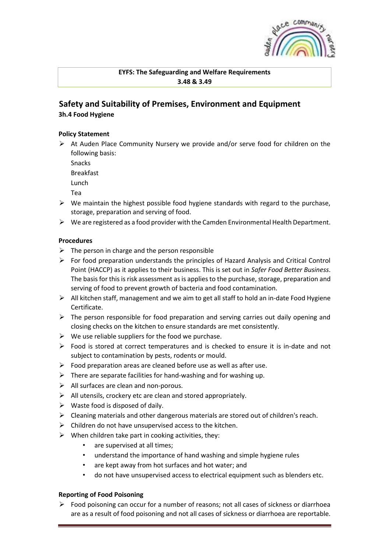

### **EYFS: The Safeguarding and Welfare Requirements 3.48 & 3.49**

# **Safety and Suitability of Premises, Environment and Equipment 3h.4 Food Hygiene**

#### **Policy Statement**

➢ At Auden Place Community Nursery we provide and/or serve food for children on the following basis:

Snacks

Breakfast

Lunch

- Tea
- $\triangleright$  We maintain the highest possible food hygiene standards with regard to the purchase, storage, preparation and serving of food.
- $\triangleright$  We are registered as a food provider with the Camden Environmental Health Department.

# **Procedures**

- $\triangleright$  The person in charge and the person responsible
- $\triangleright$  For food preparation understands the principles of Hazard Analysis and Critical Control Point (HACCP) as it applies to their business. This is set out in *Safer Food Better Business*. The basis for this is risk assessment as is applies to the purchase, storage, preparation and serving of food to prevent growth of bacteria and food contamination.
- ➢ All kitchen staff, management and we aim to get all staff to hold an in-date Food Hygiene Certificate.
- $\triangleright$  The person responsible for food preparation and serving carries out daily opening and closing checks on the kitchen to ensure standards are met consistently.
- $\triangleright$  We use reliable suppliers for the food we purchase.
- $\triangleright$  Food is stored at correct temperatures and is checked to ensure it is in-date and not subject to contamination by pests, rodents or mould.
- $\triangleright$  Food preparation areas are cleaned before use as well as after use.
- $\triangleright$  There are separate facilities for hand-washing and for washing up.
- ➢ All surfaces are clean and non-porous.
- $\triangleright$  All utensils, crockery etc are clean and stored appropriately.
- $\triangleright$  Waste food is disposed of daily.
- $\triangleright$  Cleaning materials and other dangerous materials are stored out of children's reach.
- $\triangleright$  Children do not have unsupervised access to the kitchen.
- $\triangleright$  When children take part in cooking activities, they:
	- are supervised at all times;
	- understand the importance of hand washing and simple hygiene rules
	- are kept away from hot surfaces and hot water; and
	- do not have unsupervised access to electrical equipment such as blenders etc.

# **Reporting of Food Poisoning**

 $\triangleright$  Food poisoning can occur for a number of reasons; not all cases of sickness or diarrhoea are as a result of food poisoning and not all cases of sickness or diarrhoea are reportable.